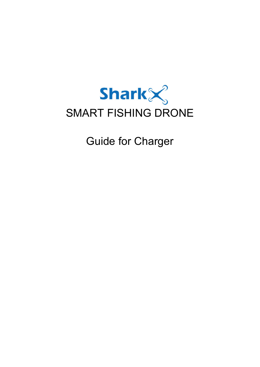

Guide for Charger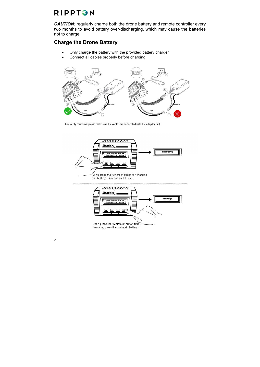**CAUTION:** regularly charge both the drone battery and remote controller every two months to avoid battery over-discharging, which may cause the batteries not to charge.

### **Charge the Drone Battery**

- Only charge the battery with the provided battery charger
- Connect all cables properly before charging



For safety concerns, please make sure the cables are connected with the adaptor first



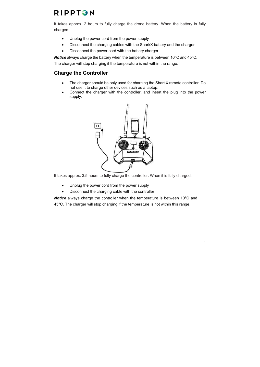It takes approx. 2 hours to fully charge the drone battery. When the battery is fully charged:

- Unplug the power cord from the power supply
- Disconnect the charging cables with the SharkX battery and the charger
- Disconnect the power cord with the battery charger.

*Notice* always charge the battery when the temperature is between 10°C and 45°C. The charger will stop charging if the temperature is not within the range.

### **Charge the Controller**

- The charger should be only used for charging the SharkX remote controller. Do not use it to charge other devices such as a laptop.
- Connect the charger with the controller, and insert the plug into the power supply.



It takes approx. 3.5 hours to fully charge the controller. When it is fully charged:

- Unplug the power cord from the power supply
- Disconnect the charging cable with the controller

*Notice* always charge the controller when the temperature is between 10°C and 45°C. The charger will stop charging if the temperature is not within this range.

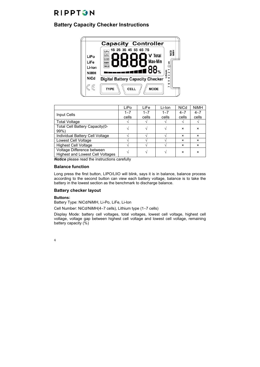### **Battery Capacity Checker Instructions**



|                                         | LiPo    | LiFe    | Li-Ion  | <b>NiCd</b>               | <b>NiMH</b>               |
|-----------------------------------------|---------|---------|---------|---------------------------|---------------------------|
| Input Cells                             | $1 - 7$ | $1 - 7$ | $1 - 7$ | $4 - 7$                   | $4 - 7$                   |
|                                         | cells   | cells   | cells   | cells                     | cells                     |
| <b>Total Voltage</b>                    |         |         |         |                           |                           |
| Total Cell Battery Capacity (0-         |         |         |         | $\boldsymbol{\mathsf{x}}$ | $\boldsymbol{\mathsf{x}}$ |
| $99\%$                                  |         |         |         |                           |                           |
| Individual Battery Cell Voltage         |         |         |         | ×                         | $\boldsymbol{\mathsf{x}}$ |
| Lowest Cell Voltage                     |         |         |         | ×                         | $\boldsymbol{\mathsf{x}}$ |
| <b>Highest Cell Voltage</b>             |         |         |         | ×                         | $\boldsymbol{\mathsf{x}}$ |
| Voltage Difference between              |         |         |         | $\boldsymbol{\mathsf{x}}$ | $\boldsymbol{\mathsf{x}}$ |
| <b>Highest and Lowest Cell Voltages</b> |         |         |         |                           |                           |

*Notice* please read the instructions carefully

#### **Balance function**

Long press the first button, LIPO/LIIO will blink, says it is in balance, balance process according to the second button can view each battery voltage, balance is to take the battery in the lowest section as the benchmark to discharge balance.

#### **Battery checker layout**

#### **Buttons:**

Battery Type: NiCd/NiMH, Li-Po, LiFe, Li-Ion

Cell Number: NiCd/NiMH( $4~7$  cells), Lithium type ( $1~7$  cells)

Display Mode: battery cell voltages, total voltages, lowest cell voltage, highest cell voltage, voltage gap between highest cell voltage and lowest cell voltage, remaining battery capacity (%)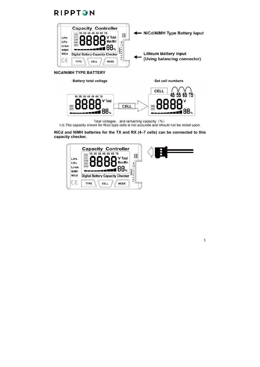

**NiCd/NiMH TYPE BATTERY**

·Battery total voltage ·Set cell numbers **CELL** 55 ħ٦ 1S 2S 3S 4S 5S 6S 7S V Total r CELL Г г NIMH .∎88 ‰

Total voltages, and remaining capacity (%)<br>n.b. The capacity shown for Nixx type cells is not accurate and should not be relied upon.

#### **NiCd and NiMH batteries for the TX and RX (47 cells) can be connected to this capacity checker.**